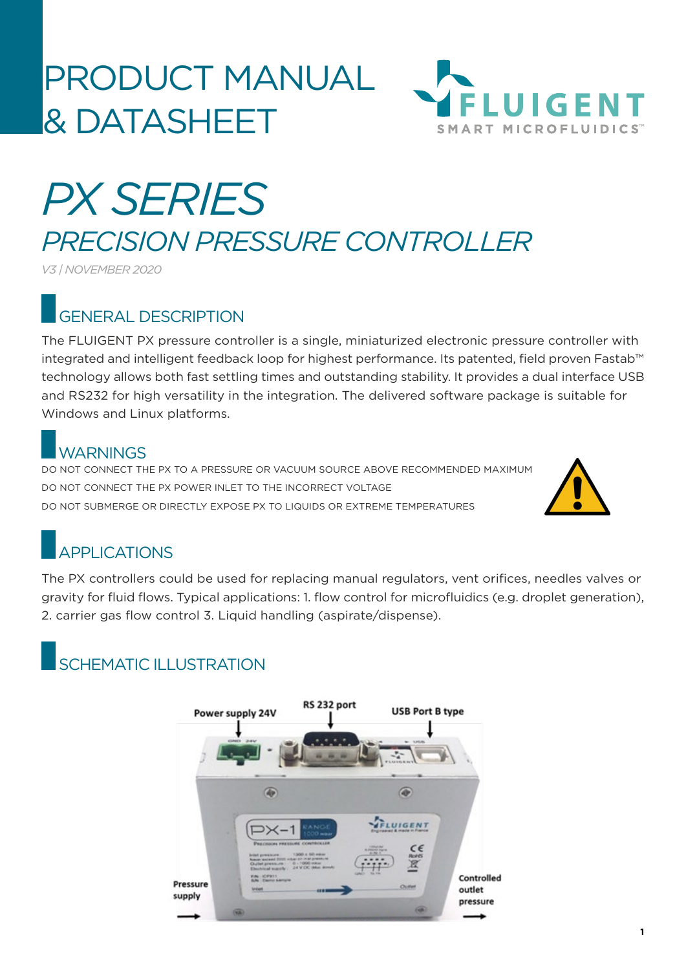# PRODUCT MANUAL & DATASHEET



# *PX SERIES PRECISION PRESSURE CONTROLLER*

*V3 | NOVEMBER 2020*

### GENERAL DESCRIPTION

The FLUIGENT PX pressure controller is a single, miniaturized electronic pressure controller with integrated and intelligent feedback loop for highest performance. Its patented, field proven Fastab™ technology allows both fast settling times and outstanding stability. It provides a dual interface USB and RS232 for high versatility in the integration. The delivered software package is suitable for Windows and Linux platforms.

### WARNINGS

DO NOT CONNECT THE PX TO A PRESSURE OR VACUUM SOURCE ABOVE RECOMMENDED MAXIMUM DO NOT CONNECT THE PX POWER INLET TO THE INCORRECT VOLTAGE DO NOT SUBMERGE OR DIRECTLY EXPOSE PX TO LIQUIDS OR EXTREME TEMPERATURES



## APPLICATIONS

The PX controllers could be used for replacing manual regulators, vent orifices, needles valves or gravity for fluid flows. Typical applications: 1. flow control for microfluidics (e.g. droplet generation), 2. carrier gas flow control 3. Liquid handling (aspirate/dispense).

### SCHEMATIC II I USTRATION

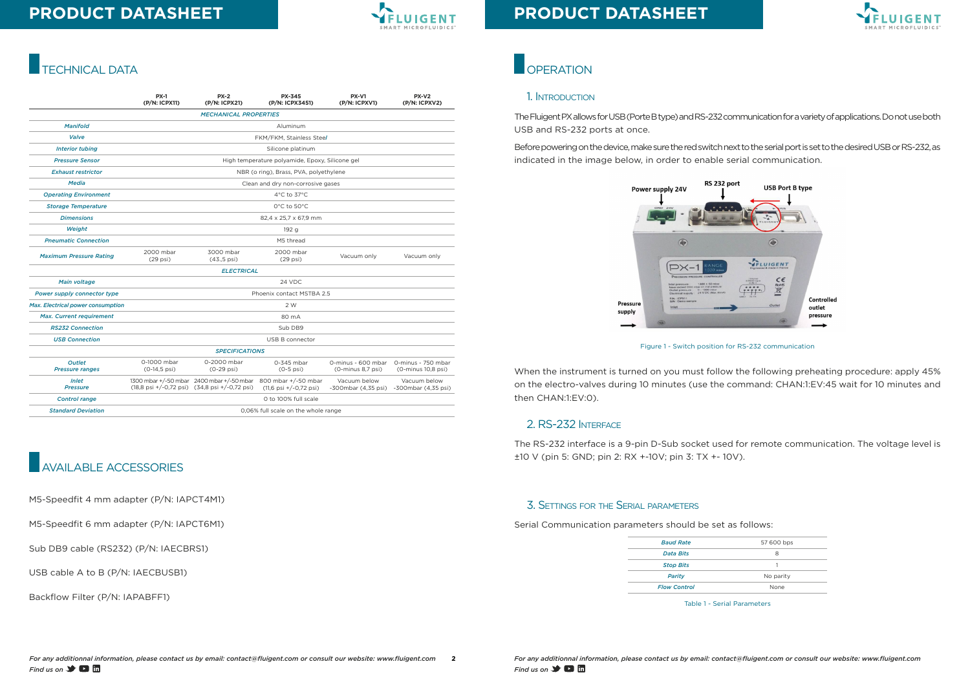*For any additionnal information, please contact us by email: contact@fluigent.com or consult our website: www.fluigent.com* **Find us on**  $\rightarrow$  **0 m** 



# **PRODUCT DATASHEET**





# **PRODUCT DATASHEET**

### TECHNICAL DATA

|                                          | <b>PX-1</b><br>(P/N: ICPX11)                    | $PX-2$<br>(P/N: ICPX21)                                                                    | <b>PX-345</b><br>(P/N: ICPX3451)                                 | <b>PX-V1</b><br>(P/N: ICPXV1)           | PX-V2<br>(P/N: ICPXV2)                   |
|------------------------------------------|-------------------------------------------------|--------------------------------------------------------------------------------------------|------------------------------------------------------------------|-----------------------------------------|------------------------------------------|
|                                          |                                                 | <b>MECHANICAL PROPERTIES</b>                                                               |                                                                  |                                         |                                          |
| <b>Manifold</b>                          | Aluminum                                        |                                                                                            |                                                                  |                                         |                                          |
| Valve                                    | FKM/FKM, Stainless Steel                        |                                                                                            |                                                                  |                                         |                                          |
| <b>Interior tubing</b>                   | Silicone platinum                               |                                                                                            |                                                                  |                                         |                                          |
| <b>Pressure Sensor</b>                   | High temperature polyamide, Epoxy, Silicone gel |                                                                                            |                                                                  |                                         |                                          |
| <b>Exhaust restrictor</b>                | NBR (o ring), Brass, PVA, polyethylene          |                                                                                            |                                                                  |                                         |                                          |
| <b>Media</b>                             | Clean and dry non-corrosive gases               |                                                                                            |                                                                  |                                         |                                          |
| <b>Operating Environment</b>             | $4^{\circ}$ C to 37 $^{\circ}$ C                |                                                                                            |                                                                  |                                         |                                          |
| <b>Storage Temperature</b>               | $0^{\circ}$ C to $50^{\circ}$ C                 |                                                                                            |                                                                  |                                         |                                          |
| <b>Dimensions</b>                        | 82,4 x 25,7 x 67,9 mm                           |                                                                                            |                                                                  |                                         |                                          |
| Weight                                   | 192 g                                           |                                                                                            |                                                                  |                                         |                                          |
| <b>Pneumatic Connection</b>              | M5 thread                                       |                                                                                            |                                                                  |                                         |                                          |
| <b>Maximum Pressure Rating</b>           | 2000 mbar<br>$(29$ psi)                         | 3000 mbar<br>$(43.5 \,\text{psi})$                                                         | 2000 mbar<br>$(29$ psi)                                          | Vacuum only                             | Vacuum only                              |
|                                          |                                                 | <b>ELECTRICAL</b>                                                                          |                                                                  |                                         |                                          |
| Main voltage                             | 24 VDC                                          |                                                                                            |                                                                  |                                         |                                          |
| Power supply connector type              | Phoenix contact MSTBA 2.5                       |                                                                                            |                                                                  |                                         |                                          |
| <b>Max. Electrical power consumption</b> | 2 W                                             |                                                                                            |                                                                  |                                         |                                          |
| Max. Current requirement                 | 80 mA                                           |                                                                                            |                                                                  |                                         |                                          |
| <b>RS232 Connection</b>                  | Sub DB9                                         |                                                                                            |                                                                  |                                         |                                          |
| <b>USB Connection</b>                    | USB B connector                                 |                                                                                            |                                                                  |                                         |                                          |
|                                          |                                                 | <b>SPECIFICATIONS</b>                                                                      |                                                                  |                                         |                                          |
| <b>Outlet</b><br><b>Pressure ranges</b>  | 0-1000 mbar<br>$(0-14, 5 \text{ psi})$          | 0-2000 mbar<br>$(0-29 \text{ psi})$                                                        | 0-345 mbar<br>$(0-5$ psi)                                        | 0-minus - 600 mbar<br>(0-minus 8.7 psi) | 0-minus - 750 mbar<br>(0-minus 10,8 psi) |
| Inlet<br><b>Pressure</b>                 |                                                 | 1300 mbar +/-50 mbar 2400 mbar +/-50 mbar<br>(18,8 psi +/-0,72 psi) (34,8 psi +/-0,72 psi) | 800 mbar +/-50 mbar<br>$(11,6 \text{ psi} + (-0.72 \text{ psi})$ | Vacuum below<br>-300mbar (4,35 psi)     | Vacuum below<br>-300mbar (4,35 psi)      |
| <b>Control range</b>                     | O to 100% full scale                            |                                                                                            |                                                                  |                                         |                                          |
| <b>Standard Deviation</b>                | 0,06% full scale on the whole range             |                                                                                            |                                                                  |                                         |                                          |

# AVAILABLE ACCESSORIES

M5-Speedfit 4 mm adapter (P/N: IAPCT4M1)

M5-Speedfit 6 mm adapter (P/N: IAPCT6M1)

Sub DB9 cable (RS232) (P/N: IAECBRS1)

USB cable A to B (P/N: IAECBUSB1)

Backflow Filter (P/N: IAPABFF1)

## **OPERATION**

#### 1. Introduction

The Fluigent PX allows for USB (Porte B type) and RS-232 communication for a variety of applications. Do not use both USB and RS-232 ports at once.

Before powering on the device, make sure the red switch next to the serial port is set to the desired USB or RS-232, as indicated in the image below, in order to enable serial communication.

Figure 1 - Switch position for RS-232 communication

When the instrument is turned on you must follow the following preheating procedure: apply 45% on the electro-valves during 10 minutes (use the command: CHAN:1:EV:45 wait for 10 minutes and then CHAN:1:EV:0).

#### 2. RS-232 Interface

The RS-232 interface is a 9-pin D-Sub socket used for remote communication. The voltage level is ±10 V (pin 5: GND; pin 2: RX +-10V; pin 3: TX +- 10V).

#### 3. Settings for the Serial parameters

Serial Communication parameters should be set as follows:

Table 1 - Serial Parameters

| <b>Baud Rate</b>    | 57 600 bps |  |
|---------------------|------------|--|
| <b>Data Bits</b>    | 8          |  |
| <b>Stop Bits</b>    |            |  |
| Parity              | No parity  |  |
| <b>Flow Control</b> | None       |  |
|                     |            |  |